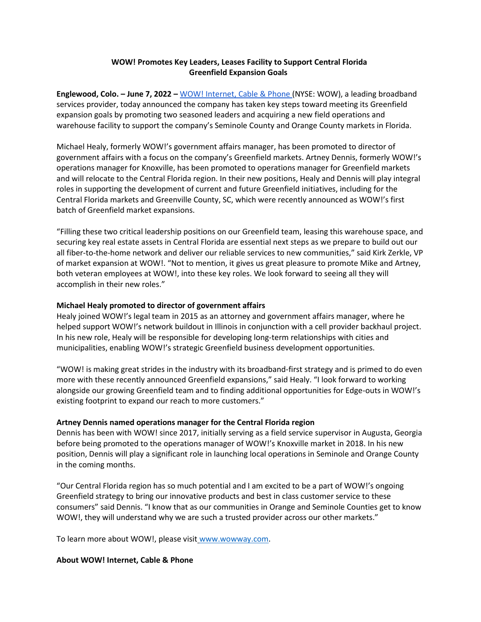## **WOW! Promotes Key Leaders, Leases Facility to Support Central Florida Greenfield Expansion Goals**

**Englewood, Colo. – June 7, 2022 –** [WOW! Internet, Cable & Phone \(](https://www.wowway.com/)NYSE: WOW), a leading broadband services provider, today announced the company has taken key steps toward meeting its Greenfield expansion goals by promoting two seasoned leaders and acquiring a new field operations and warehouse facility to support the company's Seminole County and Orange County markets in Florida.

Michael Healy, formerly WOW!'s government affairs manager, has been promoted to director of government affairs with a focus on the company's Greenfield markets. Artney Dennis, formerly WOW!'s operations manager for Knoxville, has been promoted to operations manager for Greenfield markets and will relocate to the Central Florida region. In their new positions, Healy and Dennis will play integral roles in supporting the development of current and future Greenfield initiatives, including for the Central Florida markets and Greenville County, SC, which were recently announced as WOW!'s first batch of Greenfield market expansions.

"Filling these two critical leadership positions on our Greenfield team, leasing this warehouse space, and securing key real estate assets in Central Florida are essential next steps as we prepare to build out our all fiber-to-the-home network and deliver our reliable services to new communities," said Kirk Zerkle, VP of market expansion at WOW!. "Not to mention, it gives us great pleasure to promote Mike and Artney, both veteran employees at WOW!, into these key roles. We look forward to seeing all they will accomplish in their new roles."

## **Michael Healy promoted to director of government affairs**

Healy joined WOW!'s legal team in 2015 as an attorney and government affairs manager, where he helped support WOW!'s network buildout in Illinois in conjunction with a cell provider backhaul project. In his new role, Healy will be responsible for developing long-term relationships with cities and municipalities, enabling WOW!'s strategic Greenfield business development opportunities.

"WOW! is making great strides in the industry with its broadband-first strategy and is primed to do even more with these recently announced Greenfield expansions," said Healy. "I look forward to working alongside our growing Greenfield team and to finding additional opportunities for Edge-outs in WOW!'s existing footprint to expand our reach to more customers."

## **Artney Dennis named operations manager for the Central Florida region**

Dennis has been with WOW! since 2017, initially serving as a field service supervisor in Augusta, Georgia before being promoted to the operations manager of WOW!'s Knoxville market in 2018. In his new position, Dennis will play a significant role in launching local operations in Seminole and Orange County in the coming months.

"Our Central Florida region has so much potential and I am excited to be a part of WOW!'s ongoing Greenfield strategy to bring our innovative products and best in class customer service to these consumers" said Dennis. "I know that as our communities in Orange and Seminole Counties get to know WOW!, they will understand why we are such a trusted provider across our other markets."

To learn more about WOW!, please visit [www.wowway.com.](http://www.wowway.com/)

## **About WOW! Internet, Cable & Phone**